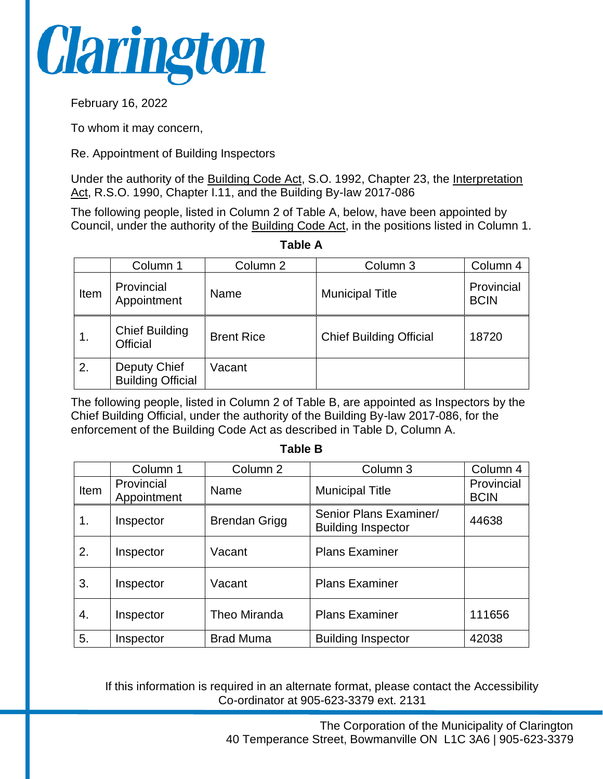

February 16, 2022

To whom it may concern,

Re. Appointment of Building Inspectors

Under the authority of the Building Code Act, S.O. 1992, Chapter 23, the Interpretation Act, R.S.O. 1990, Chapter I.11, and the Building By-law 2017-086

The following people, listed in Column 2 of Table A, below, have been appointed by Council, under the authority of the Building Code Act, in the positions listed in Column 1.

**Table A**

|      | Column 1                                 | Column <sub>2</sub> | Column 3                       | Column 4                  |
|------|------------------------------------------|---------------------|--------------------------------|---------------------------|
| Item | Provincial<br>Appointment                | Name                | <b>Municipal Title</b>         | Provincial<br><b>BCIN</b> |
| 1.   | <b>Chief Building</b><br>Official        | <b>Brent Rice</b>   | <b>Chief Building Official</b> | 18720                     |
| 2.   | Deputy Chief<br><b>Building Official</b> | Vacant              |                                |                           |

The following people, listed in Column 2 of Table B, are appointed as Inspectors by the Chief Building Official, under the authority of the Building By-law 2017-086, for the enforcement of the Building Code Act as described in Table D, Column A.

**Table B**

|      | Column 1                  | Column 2             | Column 3                                            | Column 4                  |
|------|---------------------------|----------------------|-----------------------------------------------------|---------------------------|
| Item | Provincial<br>Appointment | Name                 | <b>Municipal Title</b>                              | Provincial<br><b>BCIN</b> |
| 1.   | Inspector                 | <b>Brendan Grigg</b> | Senior Plans Examiner/<br><b>Building Inspector</b> | 44638                     |
| 2.   | Inspector                 | Vacant               | <b>Plans Examiner</b>                               |                           |
| 3.   | Inspector                 | Vacant               | <b>Plans Examiner</b>                               |                           |
| 4.   | Inspector                 | Theo Miranda         | <b>Plans Examiner</b>                               | 111656                    |
| 5.   | Inspector                 | <b>Brad Muma</b>     | <b>Building Inspector</b>                           | 42038                     |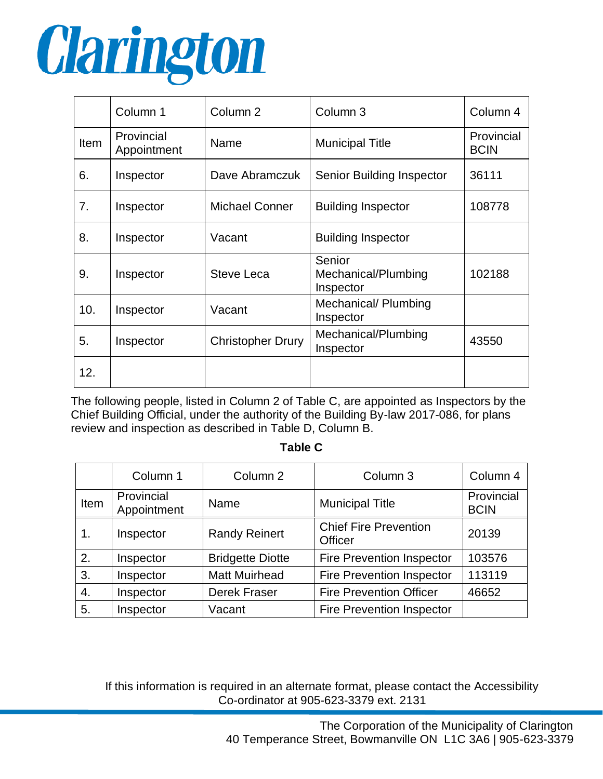

|             | Column 1                  | Column <sub>2</sub>      | Column <sub>3</sub>                        | Column <sub>4</sub>       |
|-------------|---------------------------|--------------------------|--------------------------------------------|---------------------------|
| <b>Item</b> | Provincial<br>Appointment | Name                     | <b>Municipal Title</b>                     | Provincial<br><b>BCIN</b> |
| 6.          | Inspector                 | Dave Abramczuk           | Senior Building Inspector                  | 36111                     |
| 7.          | Inspector                 | <b>Michael Conner</b>    | <b>Building Inspector</b>                  | 108778                    |
| 8.          | Inspector                 | Vacant                   | <b>Building Inspector</b>                  |                           |
| 9.          | Inspector                 | <b>Steve Leca</b>        | Senior<br>Mechanical/Plumbing<br>Inspector | 102188                    |
| 10.         | Inspector                 | Vacant                   | Mechanical/ Plumbing<br>Inspector          |                           |
| 5.          | Inspector                 | <b>Christopher Drury</b> | Mechanical/Plumbing<br>Inspector           | 43550                     |
| 12.         |                           |                          |                                            |                           |

The following people, listed in Column 2 of Table C, are appointed as Inspectors by the Chief Building Official, under the authority of the Building By-law 2017-086, for plans review and inspection as described in Table D, Column B.

## **Table C**

|      | Column 1                  | Column <sub>2</sub>     | Column 3                                | Column 4                  |
|------|---------------------------|-------------------------|-----------------------------------------|---------------------------|
| Item | Provincial<br>Appointment | Name                    | <b>Municipal Title</b>                  | Provincial<br><b>BCIN</b> |
| 1.   | Inspector                 | <b>Randy Reinert</b>    | <b>Chief Fire Prevention</b><br>Officer | 20139                     |
| 2.   | Inspector                 | <b>Bridgette Diotte</b> | <b>Fire Prevention Inspector</b>        | 103576                    |
| 3.   | Inspector                 | <b>Matt Muirhead</b>    | <b>Fire Prevention Inspector</b>        | 113119                    |
| 4.   | Inspector                 | <b>Derek Fraser</b>     | <b>Fire Prevention Officer</b>          | 46652                     |
| 5.   | Inspector                 | Vacant                  | <b>Fire Prevention Inspector</b>        |                           |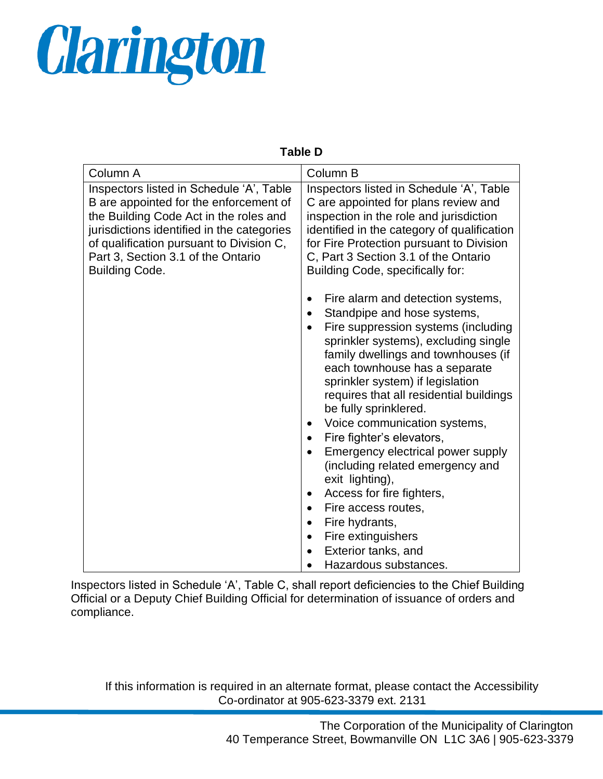

## **Table D**

| Column A                                                                                                                                                                                                                                                                              | Column B                                                                                                                                                                                                                                                                                                                                                                                                                                                                                                                                                                                                                                               |
|---------------------------------------------------------------------------------------------------------------------------------------------------------------------------------------------------------------------------------------------------------------------------------------|--------------------------------------------------------------------------------------------------------------------------------------------------------------------------------------------------------------------------------------------------------------------------------------------------------------------------------------------------------------------------------------------------------------------------------------------------------------------------------------------------------------------------------------------------------------------------------------------------------------------------------------------------------|
| Inspectors listed in Schedule 'A', Table<br>B are appointed for the enforcement of<br>the Building Code Act in the roles and<br>jurisdictions identified in the categories<br>of qualification pursuant to Division C,<br>Part 3, Section 3.1 of the Ontario<br><b>Building Code.</b> | Inspectors listed in Schedule 'A', Table<br>C are appointed for plans review and<br>inspection in the role and jurisdiction<br>identified in the category of qualification<br>for Fire Protection pursuant to Division<br>C, Part 3 Section 3.1 of the Ontario<br>Building Code, specifically for:                                                                                                                                                                                                                                                                                                                                                     |
|                                                                                                                                                                                                                                                                                       | Fire alarm and detection systems,<br>Standpipe and hose systems,<br>Fire suppression systems (including<br>sprinkler systems), excluding single<br>family dwellings and townhouses (if<br>each townhouse has a separate<br>sprinkler system) if legislation<br>requires that all residential buildings<br>be fully sprinklered.<br>Voice communication systems,<br>Fire fighter's elevators,<br>Emergency electrical power supply<br>(including related emergency and<br>exit lighting),<br>Access for fire fighters,<br>٠<br>Fire access routes,<br>Fire hydrants,<br>Fire extinguishers<br>$\bullet$<br>Exterior tanks, and<br>Hazardous substances. |

Inspectors listed in Schedule 'A', Table C, shall report deficiencies to the Chief Building Official or a Deputy Chief Building Official for determination of issuance of orders and compliance.